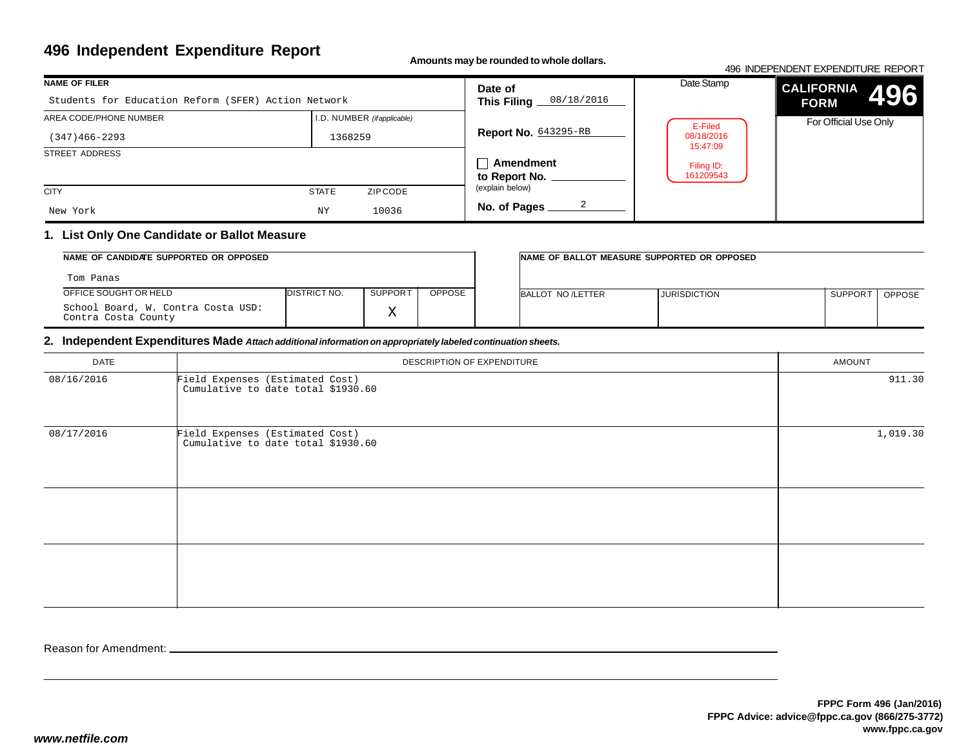# **496 Independent Expenditure Report**

**Amounts may be rounded to whole dollars.**

#### 496 INDEPENDENT EXPENDITURE REPORT**CALIFORNIAFORM** For Official Use OnlyDate Stamp**496NAME OF FILER**STREET ADDRESS**CITY STATE** ZIP CODE I.D. NUMBER *(if applicable)***Date of This Filing Report No.** 643295-RB**Amendmentto Report No. No. of Pages** AREA CODE/PHONE NUMBER(explain below)Students for Education Reform (SFER) Action Network(347)466-2293 <sup>1368259</sup> New York $NY$  10036 08/18/20162E-Filed 08/18/2016 15:47:09Filing ID:161209543

## **1. List Only One Candidate or Ballot Measure**

| NAME OF CANDIDATE SUPPORTED OR OPPOSED                    |                      |                |               | INAME OF BALLOT MEASURE SUPPORTED OR OPPOSED |                     |                     |               |
|-----------------------------------------------------------|----------------------|----------------|---------------|----------------------------------------------|---------------------|---------------------|---------------|
| Tom Panas                                                 |                      |                |               |                                              |                     |                     |               |
| OFFICE SOUGHT OR HELD                                     | <b>IDISTRICT NO.</b> | <b>SUPPORT</b> | <b>OPPOSE</b> | BALLOT NO /LETTER                            | <b>JURISDICTION</b> | SUPPOR <sup>-</sup> | <b>OPPOSE</b> |
| School Board, W. Contra Costa USD:<br>Contra Costa County |                      | △              |               |                                              |                     |                     |               |

### **2. Independent Expenditures Made** *Attach additional information on appropriately labeled continuation sheets.*

| <b>DATE</b> | DESCRIPTION OF EXPENDITURE                                            | AMOUNT   |
|-------------|-----------------------------------------------------------------------|----------|
| 08/16/2016  | Field Expenses (Estimated Cost)<br>Cumulative to date total \$1930.60 | 911.30   |
| 08/17/2016  | Field Expenses (Estimated Cost)<br>Cumulative to date total \$1930.60 | 1,019.30 |
|             |                                                                       |          |
|             |                                                                       |          |

Reason for Amendment: